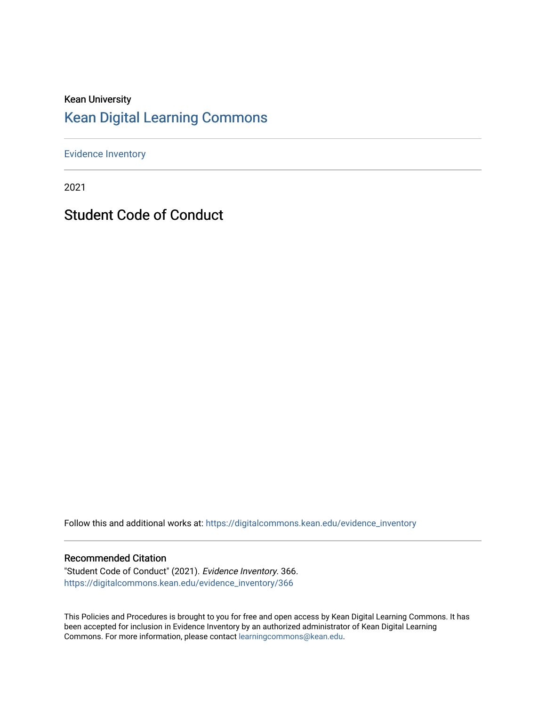#### Kean University [Kean Digital Learning Commons](https://digitalcommons.kean.edu/)

[Evidence Inventory](https://digitalcommons.kean.edu/evidence_inventory) 

2021

Student Code of Conduct

Follow this and additional works at: [https://digitalcommons.kean.edu/evidence\\_inventory](https://digitalcommons.kean.edu/evidence_inventory?utm_source=digitalcommons.kean.edu%2Fevidence_inventory%2F366&utm_medium=PDF&utm_campaign=PDFCoverPages)

#### Recommended Citation

"Student Code of Conduct" (2021). Evidence Inventory. 366. [https://digitalcommons.kean.edu/evidence\\_inventory/366](https://digitalcommons.kean.edu/evidence_inventory/366?utm_source=digitalcommons.kean.edu%2Fevidence_inventory%2F366&utm_medium=PDF&utm_campaign=PDFCoverPages)

This Policies and Procedures is brought to you for free and open access by Kean Digital Learning Commons. It has been accepted for inclusion in Evidence Inventory by an authorized administrator of Kean Digital Learning Commons. For more information, please contact [learningcommons@kean.edu.](mailto:learningcommons@kean.edu)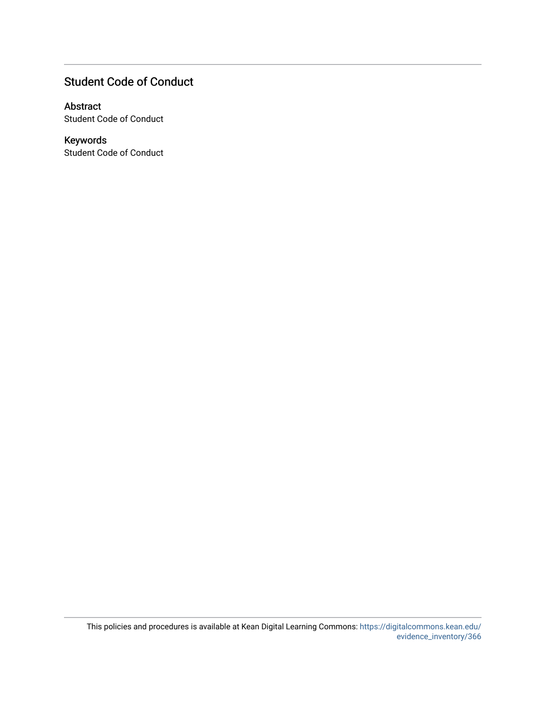#### Student Code of Conduct

#### Abstract

Student Code of Conduct

#### Keywords

Student Code of Conduct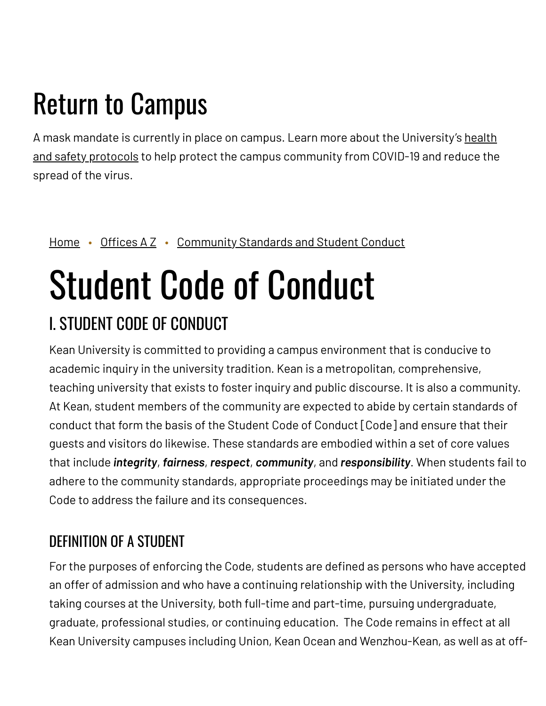## Return to Campus

A mask mandate is currently in place on campus. Learn more about the [University's](https://www.kean.edu/welcome-fall-2021-semester) health and safety protocols to help protect the campus community from COVID-19 and reduce the spread of the virus.

#### [Home](https://www.kean.edu/) • [Offices](https://www.kean.edu/offices) AZ • [Community](https://www.kean.edu/offices/community-standards-and-student-conduct) Standards and Student Conduct

# Student Code of Conduct

## I. STUDENT CODE OF CONDUCT

Kean University is committed to providing a campus environment that is conducive to academic inquiry in the university tradition. Kean is a metropolitan, comprehensive, teaching university that exists to foster inquiry and public discourse. It is also a community. At Kean, student members of the community are expected to abide by certain standards of conduct that form the basis of the Student Code of Conduct [Code] and ensure that their guests and visitors do likewise. These standards are embodied within a set of core values that include *integrity*, *fairness*, *respect*, *community*, and *responsibility*. When students fail to adhere to the community standards, appropriate proceedings may be initiated under the Code to address the failure and its consequences.

## DEFINITION OF A STUDENT

For the purposes of enforcing the Code, students are defined as persons who have accepted an offer of admission and who have a continuing relationship with the University, including taking courses at the University, both full-time and part-time, pursuing undergraduate, graduate, professional studies, or continuing education. The Code remains in effect at all Kean University campuses including Union, Kean Ocean and Wenzhou-Kean, as well as at off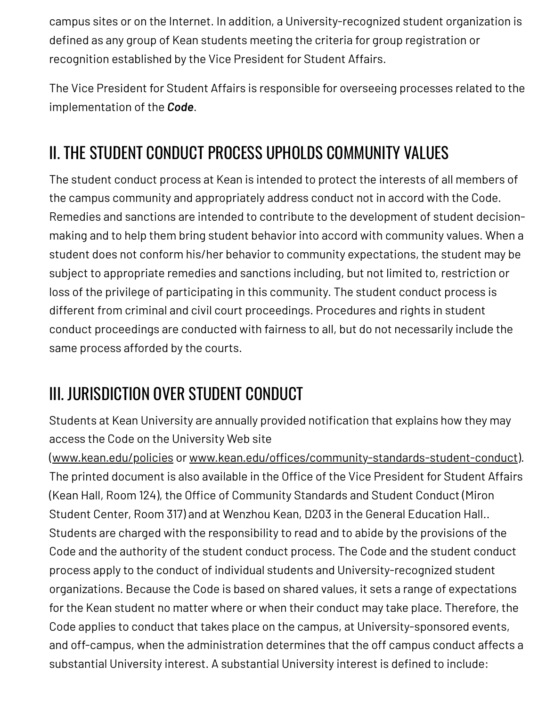campus sites or on the Internet. In addition, a University-recognized student organization is defined as any group of Kean students meeting the criteria for group registration or recognition established by the Vice President for Student Affairs.

The Vice President for Student Affairs is responsible for overseeing processes related to the implementation of the *Code*.

## II. THE STUDENT CONDUCT PROCESS UPHOLDS COMMUNITY VALUES

The student conduct process at Kean is intended to protect the interests of all members of the campus community and appropriately address conduct not in accord with the Code. Remedies and sanctions are intended to contribute to the development of student decisionmaking and to help them bring student behavior into accord with community values. When a student does not conform his/her behavior to community expectations, the student may be subject to appropriate remedies and sanctions including, but not limited to, restriction or loss of the privilege of participating in this community. The student conduct process is different from criminal and civil court proceedings. Procedures and rights in student conduct proceedings are conducted with fairness to all, but do not necessarily include the same process afforded by the courts.

## III. JURISDICTION OVER STUDENT CONDUCT

Students at Kean University are annually provided notification that explains how they may access the Code on the University Web site

([www.kean.edu/policies](http://www.kean.edu/policies) or [www.kean.edu/offices/community-standards-student-conduct\)](http://www.kean.edu/offices/community-standards-student-conduct). The printed document is also available in the Office of the Vice President for Student Affairs (Kean Hall, Room 124), the Office of Community Standards and Student Conduct (Miron Student Center, Room 317) and at Wenzhou Kean, D203 in the General Education Hall.. Students are charged with the responsibility to read and to abide by the provisions of the Code and the authority of the student conduct process. The Code and the student conduct process apply to the conduct of individual students and University-recognized student organizations. Because the Code is based on shared values, it sets a range of expectations for the Kean student no matter where or when their conduct may take place. Therefore, the Code applies to conduct that takes place on the campus, at University-sponsored events, and off-campus, when the administration determines that the off campus conduct affects a substantial University interest. A substantial University interest is defined to include: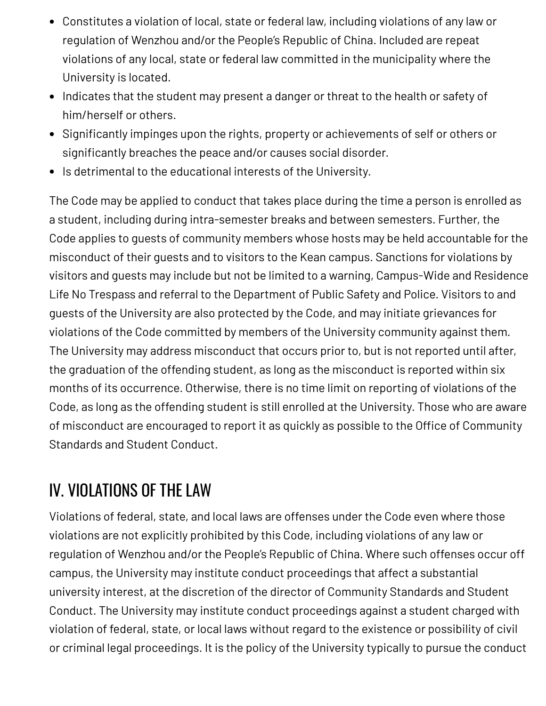- Constitutes a violation of local, state or federal law, including violations of any law or regulation of Wenzhou and/or the People's Republic of China. Included are repeat violations of any local, state or federal law committed in the municipality where the University is located.
- Indicates that the student may present a danger or threat to the health or safety of him/herself or others.
- Significantly impinges upon the rights, property or achievements of self or others or significantly breaches the peace and/or causes social disorder.
- Is detrimental to the educational interests of the University.

The Code may be applied to conduct that takes place during the time a person is enrolled as a student, including during intra-semester breaks and between semesters. Further, the Code applies to guests of community members whose hosts may be held accountable for the misconduct of their guests and to visitors to the Kean campus. Sanctions for violations by visitors and guests may include but not be limited to a warning, Campus-Wide and Residence Life No Trespass and referral to the Department of Public Safety and Police. Visitors to and guests of the University are also protected by the Code, and may initiate grievances for violations of the Code committed by members of the University community against them. The University may address misconduct that occurs prior to, but is not reported until after, the graduation of the offending student, as long as the misconduct is reported within six months of its occurrence. Otherwise, there is no time limit on reporting of violations of the Code, as long as the offending student is still enrolled at the University. Those who are aware of misconduct are encouraged to report it as quickly as possible to the Office of Community Standards and Student Conduct.

## IV. VIOLATIONS OF THE LAW

Violations of federal, state, and local laws are offenses under the Code even where those violations are not explicitly prohibited by this Code, including violations of any law or regulation of Wenzhou and/or the People's Republic of China. Where such offenses occur off campus, the University may institute conduct proceedings that affect a substantial university interest, at the discretion of the director of Community Standards and Student Conduct. The University may institute conduct proceedings against a student charged with violation of federal, state, or local laws without regard to the existence or possibility of civil or criminal legal proceedings. It is the policy of the University typically to pursue the conduct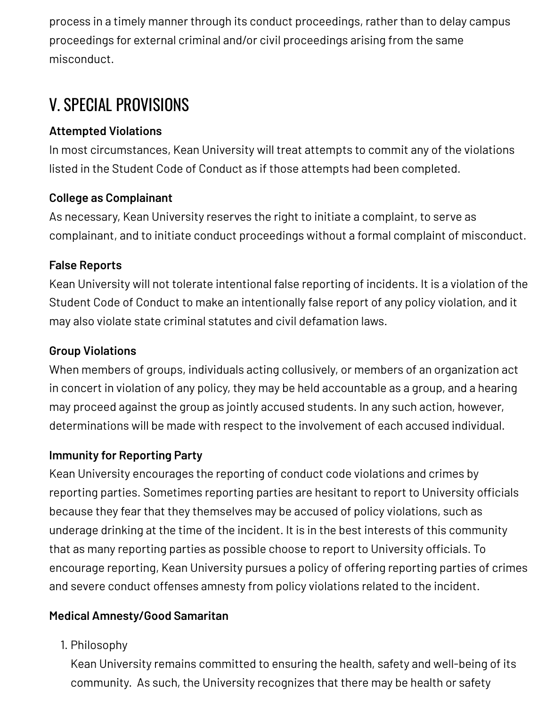process in a timely manner through its conduct proceedings, rather than to delay campus proceedings for external criminal and/or civil proceedings arising from the same misconduct.

## V. SPECIAL PROVISIONS

#### **Attempted Violations**

In most circumstances, Kean University will treat attempts to commit any of the violations listed in the Student Code of Conduct as if those attempts had been completed.

#### **College as Complainant**

As necessary, Kean University reserves the right to initiate a complaint, to serve as complainant, and to initiate conduct proceedings without a formal complaint of misconduct.

#### **False Reports**

Kean University will not tolerate intentional false reporting of incidents. It is a violation of the Student Code of Conduct to make an intentionally false report of any policy violation, and it may also violate state criminal statutes and civil defamation laws.

#### **Group Violations**

When members of groups, individuals acting collusively, or members of an organization act in concert in violation of any policy, they may be held accountable as a group, and a hearing may proceed against the group as jointly accused students. In any such action, however, determinations will be made with respect to the involvement of each accused individual.

#### **Immunity for Reporting Party**

Kean University encourages the reporting of conduct code violations and crimes by reporting parties. Sometimes reporting parties are hesitant to report to University officials because they fear that they themselves may be accused of policy violations, such as underage drinking at the time of the incident. It is in the best interests of this community that as many reporting parties as possible choose to report to University officials. To encourage reporting, Kean University pursues a policy of offering reporting parties of crimes and severe conduct offenses amnesty from policy violations related to the incident.

#### **Medical Amnesty/Good Samaritan**

1. Philosophy

Kean University remains committed to ensuring the health, safety and well-being of its community. As such, the University recognizes that there may be health or safety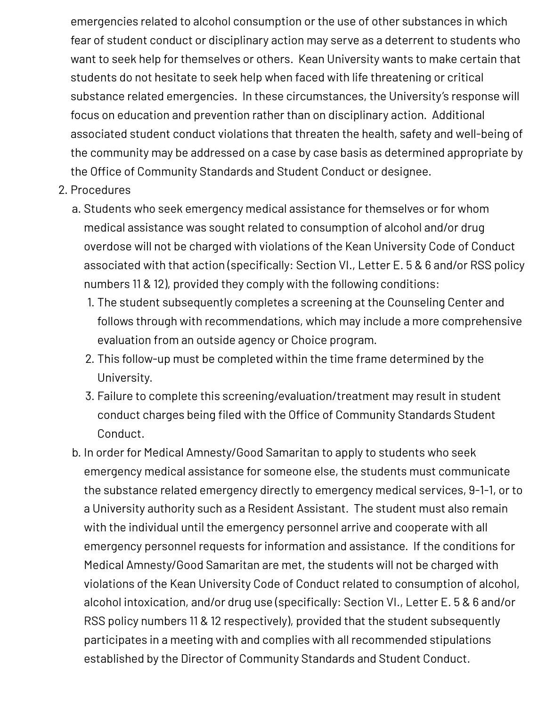emergencies related to alcohol consumption or the use of other substances in which fear of student conduct or disciplinary action may serve as a deterrent to students who want to seek help for themselves or others. Kean University wants to make certain that students do not hesitate to seek help when faced with life threatening or critical substance related emergencies. In these circumstances, the University's response will focus on education and prevention rather than on disciplinary action. Additional associated student conduct violations that threaten the health, safety and well-being of the community may be addressed on a case by case basis as determined appropriate by the Office of Community Standards and Student Conduct or designee.

- 2. Procedures
	- a. Students who seek emergency medical assistance for themselves or for whom medical assistance was sought related to consumption of alcohol and/or drug overdose will not be charged with violations of the Kean University Code of Conduct associated with that action (specifically: Section VI., Letter E. 5 & 6 and/or RSS policy numbers 11 & 12), provided they comply with the following conditions:
		- 1. The student subsequently completes a screening at the Counseling Center and follows through with recommendations, which may include a more comprehensive evaluation from an outside agency or Choice program.
		- 2. This follow-up must be completed within the time frame determined by the University.
		- 3. Failure to complete this screening/evaluation/treatment may result in student conduct charges being filed with the Office of Community Standards Student Conduct.
	- b. In order for Medical Amnesty/Good Samaritan to apply to students who seek emergency medical assistance for someone else, the students must communicate the substance related emergency directly to emergency medical services, 9-1-1, or to a University authority such as a Resident Assistant. The student must also remain with the individual until the emergency personnel arrive and cooperate with all emergency personnel requests for information and assistance. If the conditions for Medical Amnesty/Good Samaritan are met, the students will not be charged with violations of the Kean University Code of Conduct related to consumption of alcohol, alcohol intoxication, and/or drug use (specifically: Section VI., Letter E. 5 & 6 and/or RSS policy numbers 11 & 12 respectively), provided that the student subsequently participates in a meeting with and complies with all recommended stipulations established by the Director of Community Standards and Student Conduct.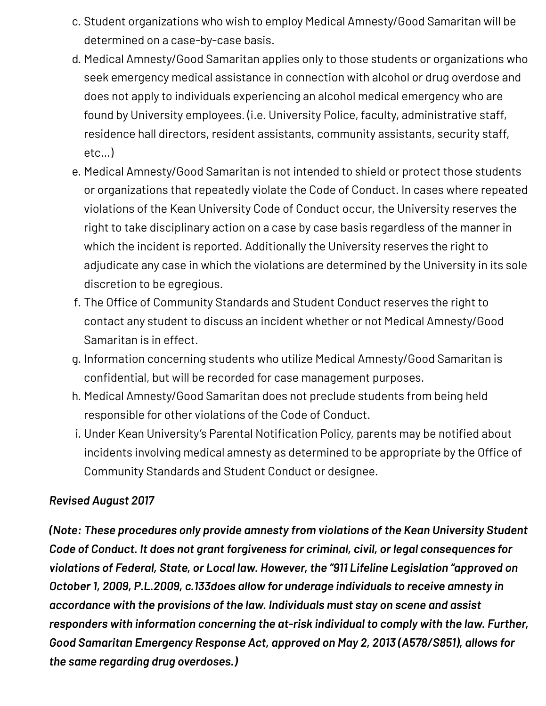- c. Student organizations who wish to employ Medical Amnesty/Good Samaritan will be determined on a case-by-case basis.
- d. Medical Amnesty/Good Samaritan applies only to those students or organizations who seek emergency medical assistance in connection with alcohol or drug overdose and does not apply to individuals experiencing an alcohol medical emergency who are found by University employees. (i.e. University Police, faculty, administrative staff, residence hall directors, resident assistants, community assistants, security staff, etc…)
- e. Medical Amnesty/Good Samaritan is not intended to shield or protect those students or organizations that repeatedly violate the Code of Conduct. In cases where repeated violations of the Kean University Code of Conduct occur, the University reserves the right to take disciplinary action on a case by case basis regardless of the manner in which the incident is reported. Additionally the University reserves the right to adjudicate any case in which the violations are determined by the University in its sole discretion to be egregious.
- f. The Office of Community Standards and Student Conduct reserves the right to contact any student to discuss an incident whether or not Medical Amnesty/Good Samaritan is in effect.
- g. Information concerning students who utilize Medical Amnesty/Good Samaritan is confidential, but will be recorded for case management purposes.
- h. Medical Amnesty/Good Samaritan does not preclude students from being held responsible for other violations of the Code of Conduct.
- i. Under Kean University's Parental Notification Policy, parents may be notified about incidents involving medical amnesty as determined to be appropriate by the Office of Community Standards and Student Conduct or designee.

#### *Revised August 2017*

*(Note: These procedures only provide amnesty from violations of the Kean University Student Code of Conduct. It does not grant forgiveness for criminal, civil, or legal consequences for violations of Federal, State, or Local law. However, the "911 Lifeline Legislation "approved on October 1, 2009, P.L.2009, c.133does allow for underage individuals to receive amnesty in accordance with the provisions of the law. Individuals must stay on scene and assist responders with information concerning the at-risk individual to comply with the law. Further, Good Samaritan Emergency Response Act, approved on May 2, 2013 (A578/S851), allows for the same regarding drug overdoses.)*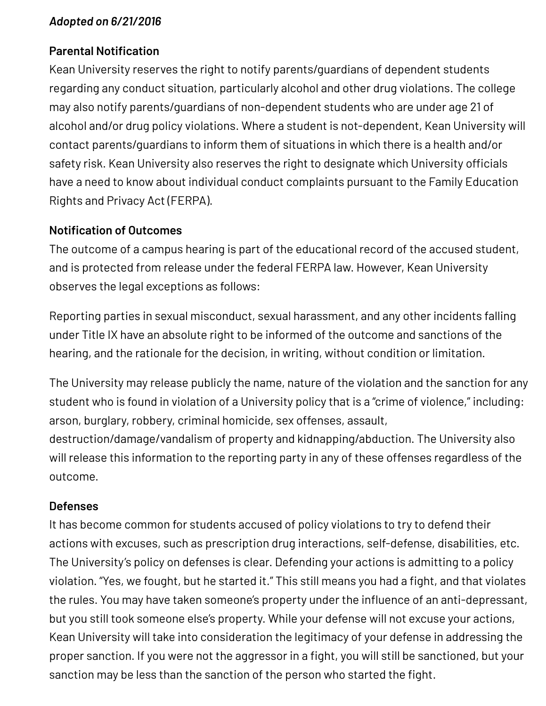#### *Adopted on 6/21/2016*

#### **Parental Notification**

Kean University reserves the right to notify parents/guardians of dependent students regarding any conduct situation, particularly alcohol and other drug violations. The college may also notify parents/guardians of non-dependent students who are under age 21 of alcohol and/or drug policy violations. Where a student is not-dependent, Kean University will contact parents/guardians to inform them of situations in which there is a health and/or safety risk. Kean University also reserves the right to designate which University officials have a need to know about individual conduct complaints pursuant to the Family Education Rights and Privacy Act (FERPA).

#### **Notification of Outcomes**

The outcome of a campus hearing is part of the educational record of the accused student, and is protected from release under the federal FERPA law. However, Kean University observes the legal exceptions as follows:

Reporting parties in sexual misconduct, sexual harassment, and any other incidents falling under Title IX have an absolute right to be informed of the outcome and sanctions of the hearing, and the rationale for the decision, in writing, without condition or limitation.

The University may release publicly the name, nature of the violation and the sanction for any student who is found in violation of a University policy that is a "crime of violence," including: arson, burglary, robbery, criminal homicide, sex offenses, assault,

destruction/damage/vandalism of property and kidnapping/abduction. The University also will release this information to the reporting party in any of these offenses regardless of the outcome.

#### **Defenses**

It has become common for students accused of policy violations to try to defend their actions with excuses, such as prescription drug interactions, self-defense, disabilities, etc. The University's policy on defenses is clear. Defending your actions is admitting to a policy violation. "Yes, we fought, but he started it." This still means you had a fight, and that violates the rules. You may have taken someone's property under the influence of an anti-depressant, but you still took someone else's property. While your defense will not excuse your actions, Kean University will take into consideration the legitimacy of your defense in addressing the proper sanction. If you were not the aggressor in a fight, you will still be sanctioned, but your sanction may be less than the sanction of the person who started the fight.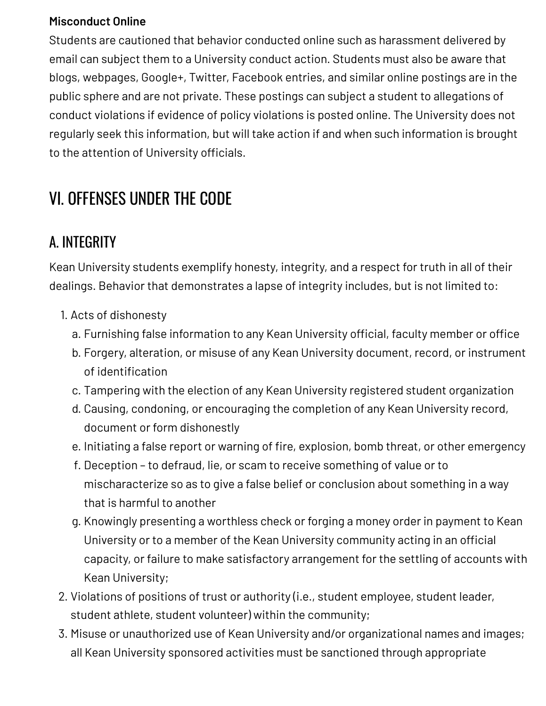#### **Misconduct Online**

Students are cautioned that behavior conducted online such as harassment delivered by email can subject them to a University conduct action. Students must also be aware that blogs, webpages, Google+, Twitter, Facebook entries, and similar online postings are in the public sphere and are not private. These postings can subject a student to allegations of conduct violations if evidence of policy violations is posted online. The University does not regularly seek this information, but will take action if and when such information is brought to the attention of University officials.

## VI. OFFENSES UNDER THE CODE

## A. INTEGRITY

Kean University students exemplify honesty, integrity, and a respect for truth in all of their dealings. Behavior that demonstrates a lapse of integrity includes, but is not limited to:

- 1. Acts of dishonesty
	- a. Furnishing false information to any Kean University official, faculty member or office
	- b. Forgery, alteration, or misuse of any Kean University document, record, or instrument of identification
	- c. Tampering with the election of any Kean University registered student organization
	- d. Causing, condoning, or encouraging the completion of any Kean University record, document or form dishonestly
	- e. Initiating a false report or warning of fire, explosion, bomb threat, or other emergency
	- f. Deception to defraud, lie, or scam to receive something of value or to mischaracterize so as to give a false belief or conclusion about something in a way that is harmful to another
	- g. Knowingly presenting a worthless check or forging a money order in payment to Kean University or to a member of the Kean University community acting in an official capacity, or failure to make satisfactory arrangement for the settling of accounts with Kean University;
- 2. Violations of positions of trust or authority (i.e., student employee, student leader, student athlete, student volunteer) within the community;
- 3. Misuse or unauthorized use of Kean University and/or organizational names and images; all Kean University sponsored activities must be sanctioned through appropriate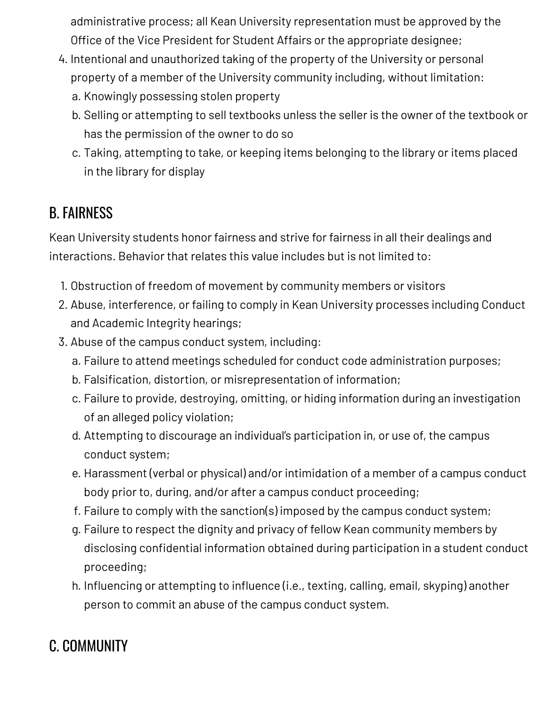administrative process; all Kean University representation must be approved by the Office of the Vice President for Student Affairs or the appropriate designee;

- 4. Intentional and unauthorized taking of the property of the University or personal property of a member of the University community including, without limitation:
	- a. Knowingly possessing stolen property
	- b. Selling or attempting to sell textbooks unless the seller is the owner of the textbook or has the permission of the owner to do so
	- c. Taking, attempting to take, or keeping items belonging to the library or items placed in the library for display

## B. FAIRNESS

Kean University students honor fairness and strive for fairness in all their dealings and interactions. Behavior that relates this value includes but is not limited to:

- 1. Obstruction of freedom of movement by community members or visitors
- 2. Abuse, interference, or failing to comply in Kean University processes including Conduct and Academic Integrity hearings;
- 3. Abuse of the campus conduct system, including:
	- a. Failure to attend meetings scheduled for conduct code administration purposes;
	- b. Falsification, distortion, or misrepresentation of information;
	- c. Failure to provide, destroying, omitting, or hiding information during an investigation of an alleged policy violation;
	- d. Attempting to discourage an individual's participation in, or use of, the campus conduct system;
	- e. Harassment (verbal or physical) and/or intimidation of a member of a campus conduct body prior to, during, and/or after a campus conduct proceeding;
	- f. Failure to comply with the sanction(s) imposed by the campus conduct system;
	- g. Failure to respect the dignity and privacy of fellow Kean community members by disclosing confidential information obtained during participation in a student conduct proceeding;
	- h. Influencing or attempting to influence (i.e., texting, calling, email, skyping) another person to commit an abuse of the campus conduct system.

## C. COMMUNITY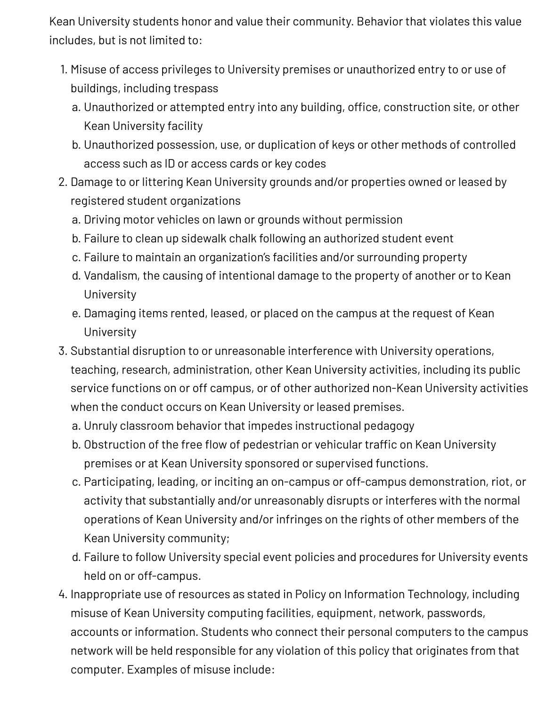Kean University students honor and value their community. Behavior that violates this value includes, but is not limited to:

- 1. Misuse of access privileges to University premises or unauthorized entry to or use of buildings, including trespass
	- a. Unauthorized or attempted entry into any building, office, construction site, or other Kean University facility
	- b. Unauthorized possession, use, or duplication of keys or other methods of controlled access such as ID or access cards or key codes
- 2. Damage to or littering Kean University grounds and/or properties owned or leased by registered student organizations
	- a. Driving motor vehicles on lawn or grounds without permission
	- b. Failure to clean up sidewalk chalk following an authorized student event
	- c. Failure to maintain an organization's facilities and/or surrounding property
	- d. Vandalism, the causing of intentional damage to the property of another or to Kean University
	- e. Damaging items rented, leased, or placed on the campus at the request of Kean University
- 3. Substantial disruption to or unreasonable interference with University operations, teaching, research, administration, other Kean University activities, including its public service functions on or off campus, or of other authorized non-Kean University activities when the conduct occurs on Kean University or leased premises.
	- a. Unruly classroom behavior that impedes instructional pedagogy
	- b. Obstruction of the free flow of pedestrian or vehicular traffic on Kean University premises or at Kean University sponsored or supervised functions.
	- c. Participating, leading, or inciting an on-campus or off-campus demonstration, riot, or activity that substantially and/or unreasonably disrupts or interferes with the normal operations of Kean University and/or infringes on the rights of other members of the Kean University community;
	- d. Failure to follow University special event policies and procedures for University events held on or off-campus.
- 4. Inappropriate use of resources as stated in Policy on Information Technology, including misuse of Kean University computing facilities, equipment, network, passwords, accounts or information. Students who connect their personal computers to the campus network will be held responsible for any violation of this policy that originates from that computer. Examples of misuse include: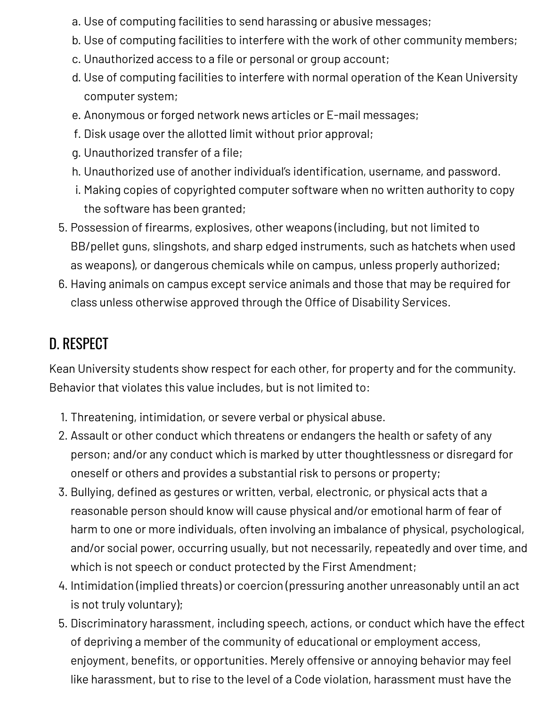- a. Use of computing facilities to send harassing or abusive messages;
- b. Use of computing facilities to interfere with the work of other community members;
- c. Unauthorized access to a file or personal or group account;
- d. Use of computing facilities to interfere with normal operation of the Kean University computer system;
- e. Anonymous or forged network news articles or E-mail messages;
- f. Disk usage over the allotted limit without prior approval;
- g. Unauthorized transfer of a file;
- h. Unauthorized use of another individual's identification, username, and password.
- i. Making copies of copyrighted computer software when no written authority to copy the software has been granted;
- 5. Possession of firearms, explosives, other weapons (including, but not limited to BB/pellet guns, slingshots, and sharp edged instruments, such as hatchets when used as weapons), or dangerous chemicals while on campus, unless properly authorized;
- 6. Having animals on campus except service animals and those that may be required for class unless otherwise approved through the Office of Disability Services.

## D. RESPECT

Kean University students show respect for each other, for property and for the community. Behavior that violates this value includes, but is not limited to:

- 1. Threatening, intimidation, or severe verbal or physical abuse.
- 2. Assault or other conduct which threatens or endangers the health or safety of any person; and/or any conduct which is marked by utter thoughtlessness or disregard for oneself or others and provides a substantial risk to persons or property;
- 3. Bullying, defined as gestures or written, verbal, electronic, or physical acts that a reasonable person should know will cause physical and/or emotional harm of fear of harm to one or more individuals, often involving an imbalance of physical, psychological, and/or social power, occurring usually, but not necessarily, repeatedly and over time, and which is not speech or conduct protected by the First Amendment;
- 4. Intimidation (implied threats) or coercion (pressuring another unreasonably until an act is not truly voluntary);
- 5. Discriminatory harassment, including speech, actions, or conduct which have the effect of depriving a member of the community of educational or employment access, enjoyment, benefits, or opportunities. Merely offensive or annoying behavior may feel like harassment, but to rise to the level of a Code violation, harassment must have the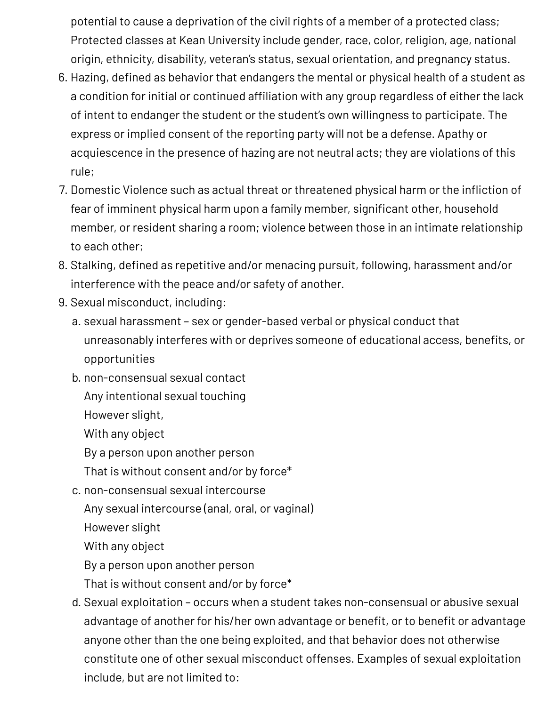potential to cause a deprivation of the civil rights of a member of a protected class; Protected classes at Kean University include gender, race, color, religion, age, national origin, ethnicity, disability, veteran's status, sexual orientation, and pregnancy status.

- 6. Hazing, defined as behavior that endangers the mental or physical health of a student as a condition for initial or continued affiliation with any group regardless of either the lack of intent to endanger the student or the student's own willingness to participate. The express or implied consent of the reporting party will not be a defense. Apathy or acquiescence in the presence of hazing are not neutral acts; they are violations of this rule;
- 7. Domestic Violence such as actual threat or threatened physical harm or the infliction of fear of imminent physical harm upon a family member, significant other, household member, or resident sharing a room; violence between those in an intimate relationship to each other;
- 8. Stalking, defined as repetitive and/or menacing pursuit, following, harassment and/or interference with the peace and/or safety of another.
- 9. Sexual misconduct, including:
	- a. sexual harassment sex or gender-based verbal or physical conduct that unreasonably interferes with or deprives someone of educational access, benefits, or opportunities
	- b. non-consensual sexual contact
		- Any intentional sexual touching
		- However slight,
		- With any object
		- By a person upon another person
		- That is without consent and/or by force\*
	- c. non-consensual sexual intercourse
		- Any sexual intercourse (anal, oral, or vaginal)
		- However slight
		- With any object
		- By a person upon another person
		- That is without consent and/or by force\*
	- d. Sexual exploitation occurs when a student takes non-consensual or abusive sexual advantage of another for his/her own advantage or benefit, or to benefit or advantage anyone other than the one being exploited, and that behavior does not otherwise constitute one of other sexual misconduct offenses. Examples of sexual exploitation include, but are not limited to: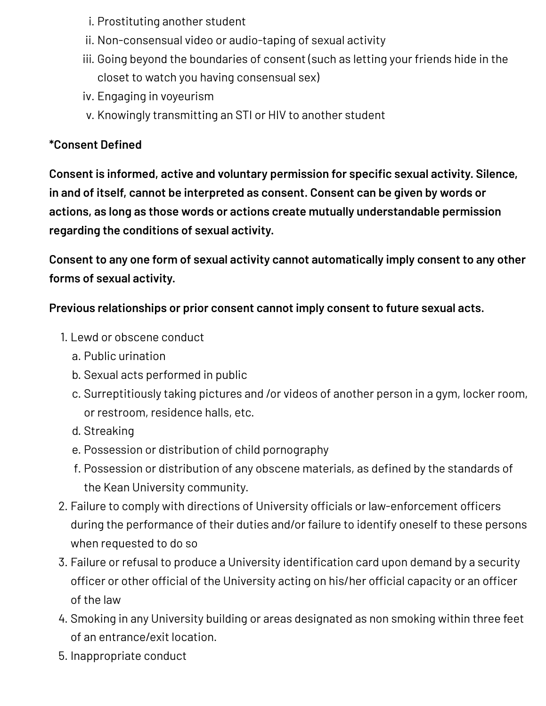- i. Prostituting another student
- ii. Non-consensual video or audio-taping of sexual activity
- iii. Going beyond the boundaries of consent (such as letting your friends hide in the closet to watch you having consensual sex)
- iv. Engaging in voyeurism
- v. Knowingly transmitting an STI or HIV to another student

#### **\*Consent Defined**

**Consent is informed, active and voluntary permission for specific sexual activity. Silence, in and of itself, cannot be interpreted as consent. Consent can be given by words or actions, as long as those words or actions create mutually understandable permission regarding the conditions of sexual activity.**

**Consent to any one form of sexual activity cannot automatically imply consent to any other forms of sexual activity.**

#### **Previous relationships or prior consent cannot imply consent to future sexual acts.**

- 1. Lewd or obscene conduct
	- a. Public urination
	- b. Sexual acts performed in public
	- c. Surreptitiously taking pictures and /or videos of another person in a gym, locker room, or restroom, residence halls, etc.
	- d. Streaking
	- e. Possession or distribution of child pornography
	- f. Possession or distribution of any obscene materials, as defined by the standards of the Kean University community.
- 2. Failure to comply with directions of University officials or law-enforcement officers during the performance of their duties and/or failure to identify oneself to these persons when requested to do so
- 3. Failure or refusal to produce a University identification card upon demand by a security officer or other official of the University acting on his/her official capacity or an officer of the law
- 4. Smoking in any University building or areas designated as non smoking within three feet of an entrance/exit location.
- 5. Inappropriate conduct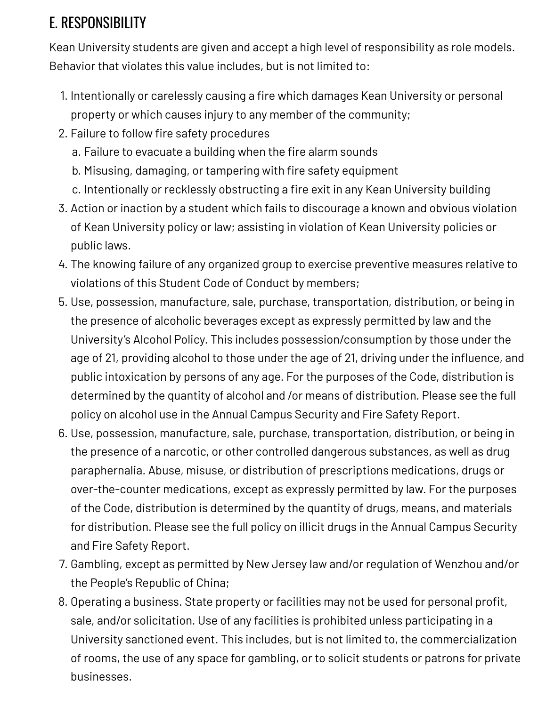## E. RESPONSIBILITY

Kean University students are given and accept a high level of responsibility as role models. Behavior that violates this value includes, but is not limited to:

- 1. Intentionally or carelessly causing a fire which damages Kean University or personal property or which causes injury to any member of the community;
- 2. Failure to follow fire safety procedures
	- a. Failure to evacuate a building when the fire alarm sounds
	- b. Misusing, damaging, or tampering with fire safety equipment
	- c. Intentionally or recklessly obstructing a fire exit in any Kean University building
- 3. Action or inaction by a student which fails to discourage a known and obvious violation of Kean University policy or law; assisting in violation of Kean University policies or public laws.
- 4. The knowing failure of any organized group to exercise preventive measures relative to violations of this Student Code of Conduct by members;
- 5. Use, possession, manufacture, sale, purchase, transportation, distribution, or being in the presence of alcoholic beverages except as expressly permitted by law and the University's Alcohol Policy. This includes possession/consumption by those under the age of 21, providing alcohol to those under the age of 21, driving under the influence, and public intoxication by persons of any age. For the purposes of the Code, distribution is determined by the quantity of alcohol and /or means of distribution. Please see the full policy on alcohol use in the Annual Campus Security and Fire Safety Report.
- 6. Use, possession, manufacture, sale, purchase, transportation, distribution, or being in the presence of a narcotic, or other controlled dangerous substances, as well as drug paraphernalia. Abuse, misuse, or distribution of prescriptions medications, drugs or over-the-counter medications, except as expressly permitted by law. For the purposes of the Code, distribution is determined by the quantity of drugs, means, and materials for distribution. Please see the full policy on illicit drugs in the Annual Campus Security and Fire Safety Report.
- 7. Gambling, except as permitted by New Jersey law and/or regulation of Wenzhou and/or the People's Republic of China;
- 8. Operating a business. State property or facilities may not be used for personal profit, sale, and/or solicitation. Use of any facilities is prohibited unless participating in a University sanctioned event. This includes, but is not limited to, the commercialization of rooms, the use of any space for gambling, or to solicit students or patrons for private businesses.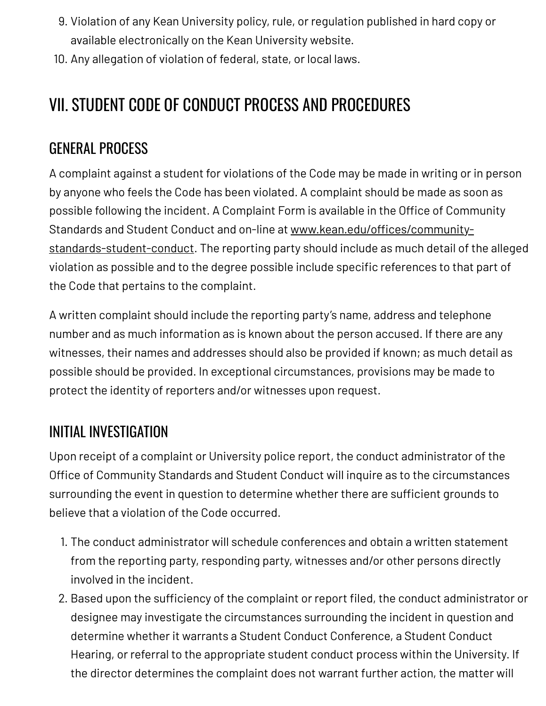- 9. Violation of any Kean University policy, rule, or regulation published in hard copy or available electronically on the Kean University website.
- 10. Any allegation of violation of federal, state, or local laws.

## VII. STUDENT CODE OF CONDUCT PROCESS AND PROCEDURES

## GENERAL PROCESS

A complaint against a student for violations of the Code may be made in writing or in person by anyone who feels the Code has been violated. A complaint should be made as soon as possible following the incident. A Complaint Form is available in the Office of Community Standards and Student Conduct and on-line at [www.kean.edu/offices/community](http://www.kean.edu/offices/community-standards-student-conduct)standards-student-conduct. The reporting party should include as much detail of the alleged violation as possible and to the degree possible include specific references to that part of the Code that pertains to the complaint.

A written complaint should include the reporting party's name, address and telephone number and as much information as is known about the person accused. If there are any witnesses, their names and addresses should also be provided if known; as much detail as possible should be provided. In exceptional circumstances, provisions may be made to protect the identity of reporters and/or witnesses upon request.

## INITIAL INVESTIGATION

Upon receipt of a complaint or University police report, the conduct administrator of the Office of Community Standards and Student Conduct will inquire as to the circumstances surrounding the event in question to determine whether there are sufficient grounds to believe that a violation of the Code occurred.

- 1. The conduct administrator will schedule conferences and obtain a written statement from the reporting party, responding party, witnesses and/or other persons directly involved in the incident.
- 2. Based upon the sufficiency of the complaint or report filed, the conduct administrator or designee may investigate the circumstances surrounding the incident in question and determine whether it warrants a Student Conduct Conference, a Student Conduct Hearing, or referral to the appropriate student conduct process within the University. If the director determines the complaint does not warrant further action, the matter will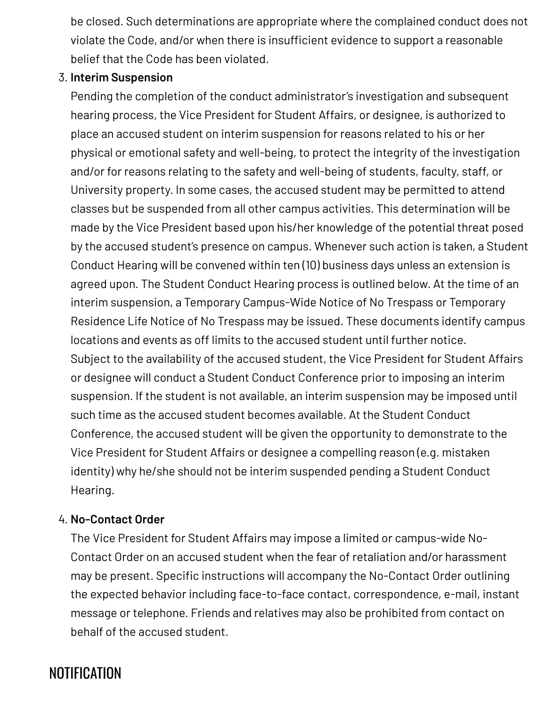be closed. Such determinations are appropriate where the complained conduct does not violate the Code, and/or when there is insufficient evidence to support a reasonable belief that the Code has been violated.

#### 3. **Interim Suspension**

Pending the completion of the conduct administrator's investigation and subsequent hearing process, the Vice President for Student Affairs, or designee, is authorized to place an accused student on interim suspension for reasons related to his or her physical or emotional safety and well-being, to protect the integrity of the investigation and/or for reasons relating to the safety and well-being of students, faculty, staff, or University property. In some cases, the accused student may be permitted to attend classes but be suspended from all other campus activities. This determination will be made by the Vice President based upon his/her knowledge of the potential threat posed by the accused student's presence on campus. Whenever such action is taken, a Student Conduct Hearing will be convened within ten (10) business days unless an extension is agreed upon. The Student Conduct Hearing process is outlined below. At the time of an interim suspension, a Temporary Campus-Wide Notice of No Trespass or Temporary Residence Life Notice of No Trespass may be issued. These documents identify campus locations and events as off limits to the accused student until further notice. Subject to the availability of the accused student, the Vice President for Student Affairs or designee will conduct a Student Conduct Conference prior to imposing an interim suspension. If the student is not available, an interim suspension may be imposed until such time as the accused student becomes available. At the Student Conduct Conference, the accused student will be given the opportunity to demonstrate to the Vice President for Student Affairs or designee a compelling reason (e.g. mistaken identity) why he/she should not be interim suspended pending a Student Conduct Hearing.

#### 4. **No-Contact Order**

The Vice President for Student Affairs may impose a limited or campus-wide No-Contact Order on an accused student when the fear of retaliation and/or harassment may be present. Specific instructions will accompany the No-Contact Order outlining the expected behavior including face-to-face contact, correspondence, e-mail, instant message or telephone. Friends and relatives may also be prohibited from contact on behalf of the accused student.

## **NOTIFICATION**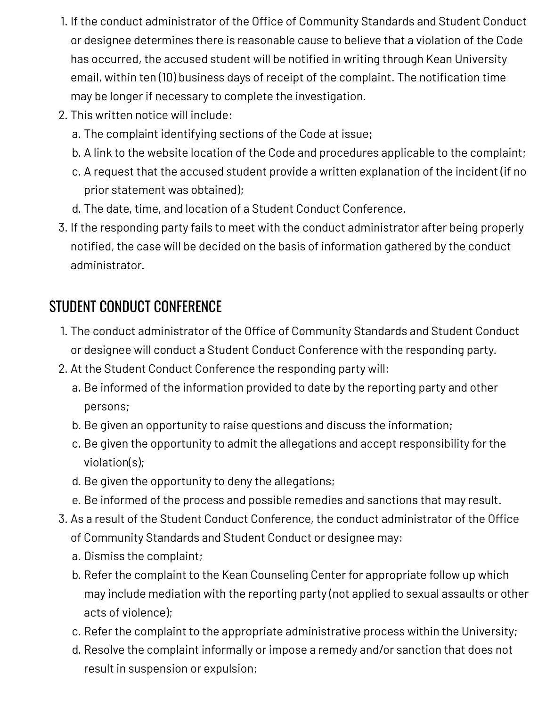- 1. If the conduct administrator of the Office of Community Standards and Student Conduct or designee determines there is reasonable cause to believe that a violation of the Code has occurred, the accused student will be notified in writing through Kean University email, within ten (10) business days of receipt of the complaint. The notification time may be longer if necessary to complete the investigation.
- 2. This written notice will include:
	- a. The complaint identifying sections of the Code at issue;
	- b. A link to the website location of the Code and procedures applicable to the complaint;
	- c. A request that the accused student provide a written explanation of the incident (if no prior statement was obtained);
	- d. The date, time, and location of a Student Conduct Conference.
- 3. If the responding party fails to meet with the conduct administrator after being properly notified, the case will be decided on the basis of information gathered by the conduct administrator.

## STUDENT CONDUCT CONFERENCE

- 1. The conduct administrator of the Office of Community Standards and Student Conduct or designee will conduct a Student Conduct Conference with the responding party.
- 2. At the Student Conduct Conference the responding party will:
	- a. Be informed of the information provided to date by the reporting party and other persons;
	- b. Be given an opportunity to raise questions and discuss the information;
	- c. Be given the opportunity to admit the allegations and accept responsibility for the violation(s);
	- d. Be given the opportunity to deny the allegations;
	- e. Be informed of the process and possible remedies and sanctions that may result.
- 3. As a result of the Student Conduct Conference, the conduct administrator of the Office of Community Standards and Student Conduct or designee may:
	- a. Dismiss the complaint;
	- b. Refer the complaint to the Kean Counseling Center for appropriate follow up which may include mediation with the reporting party (not applied to sexual assaults or other acts of violence);
	- c. Refer the complaint to the appropriate administrative process within the University;
	- d. Resolve the complaint informally or impose a remedy and/or sanction that does not result in suspension or expulsion;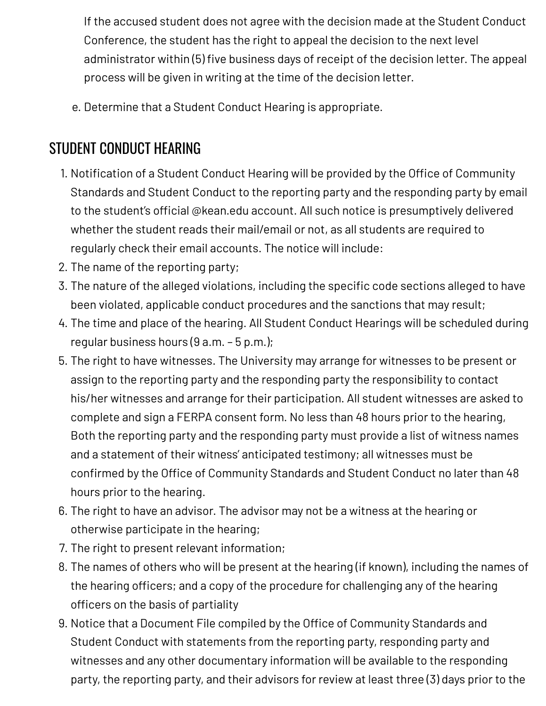If the accused student does not agree with the decision made at the Student Conduct Conference, the student has the right to appeal the decision to the next level administrator within (5) five business days of receipt of the decision letter. The appeal process will be given in writing at the time of the decision letter.

e. Determine that a Student Conduct Hearing is appropriate.

## STUDENT CONDUCT HEARING

- 1. Notification of a Student Conduct Hearing will be provided by the Office of Community Standards and Student Conduct to the reporting party and the responding party by email to the student's official @kean.edu account. All such notice is presumptively delivered whether the student reads their mail/email or not, as all students are required to regularly check their email accounts. The notice will include:
- 2. The name of the reporting party;
- 3. The nature of the alleged violations, including the specific code sections alleged to have been violated, applicable conduct procedures and the sanctions that may result;
- 4. The time and place of the hearing. All Student Conduct Hearings will be scheduled during regular business hours (9 a.m. – 5 p.m.);
- 5. The right to have witnesses. The University may arrange for witnesses to be present or assign to the reporting party and the responding party the responsibility to contact his/her witnesses and arrange for their participation. All student witnesses are asked to complete and sign a FERPA consent form. No less than 48 hours prior to the hearing, Both the reporting party and the responding party must provide a list of witness names and a statement of their witness' anticipated testimony; all witnesses must be confirmed by the Office of Community Standards and Student Conduct no later than 48 hours prior to the hearing.
- 6. The right to have an advisor. The advisor may not be a witness at the hearing or otherwise participate in the hearing;
- 7. The right to present relevant information;
- 8. The names of others who will be present at the hearing (if known), including the names of the hearing officers; and a copy of the procedure for challenging any of the hearing officers on the basis of partiality
- 9. Notice that a Document File compiled by the Office of Community Standards and Student Conduct with statements from the reporting party, responding party and witnesses and any other documentary information will be available to the responding party, the reporting party, and their advisors for review at least three (3) days prior to the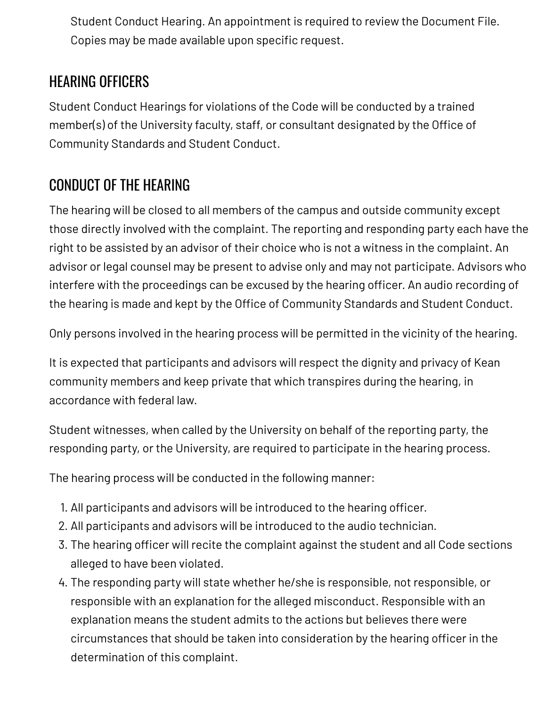Student Conduct Hearing. An appointment is required to review the Document File. Copies may be made available upon specific request.

## HEARING OFFICERS

Student Conduct Hearings for violations of the Code will be conducted by a trained member(s) of the University faculty, staff, or consultant designated by the Office of Community Standards and Student Conduct.

## CONDUCT OF THE HEARING

The hearing will be closed to all members of the campus and outside community except those directly involved with the complaint. The reporting and responding party each have the right to be assisted by an advisor of their choice who is not a witness in the complaint. An advisor or legal counsel may be present to advise only and may not participate. Advisors who interfere with the proceedings can be excused by the hearing officer. An audio recording of the hearing is made and kept by the Office of Community Standards and Student Conduct.

Only persons involved in the hearing process will be permitted in the vicinity of the hearing.

It is expected that participants and advisors will respect the dignity and privacy of Kean community members and keep private that which transpires during the hearing, in accordance with federal law.

Student witnesses, when called by the University on behalf of the reporting party, the responding party, or the University, are required to participate in the hearing process.

The hearing process will be conducted in the following manner:

- 1. All participants and advisors will be introduced to the hearing officer.
- 2. All participants and advisors will be introduced to the audio technician.
- 3. The hearing officer will recite the complaint against the student and all Code sections alleged to have been violated.
- 4. The responding party will state whether he/she is responsible, not responsible, or responsible with an explanation for the alleged misconduct. Responsible with an explanation means the student admits to the actions but believes there were circumstances that should be taken into consideration by the hearing officer in the determination of this complaint.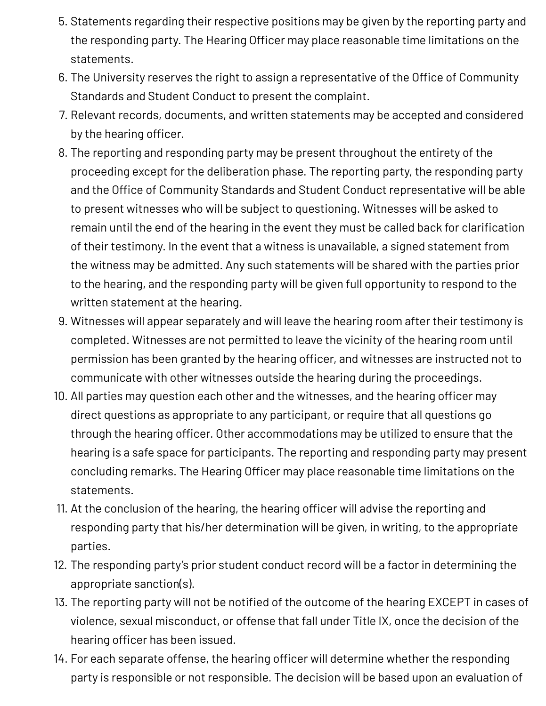- 5. Statements regarding their respective positions may be given by the reporting party and the responding party. The Hearing Officer may place reasonable time limitations on the statements.
- 6. The University reserves the right to assign a representative of the Office of Community Standards and Student Conduct to present the complaint.
- 7. Relevant records, documents, and written statements may be accepted and considered by the hearing officer.
- 8. The reporting and responding party may be present throughout the entirety of the proceeding except for the deliberation phase. The reporting party, the responding party and the Office of Community Standards and Student Conduct representative will be able to present witnesses who will be subject to questioning. Witnesses will be asked to remain until the end of the hearing in the event they must be called back for clarification of their testimony. In the event that a witness is unavailable, a signed statement from the witness may be admitted. Any such statements will be shared with the parties prior to the hearing, and the responding party will be given full opportunity to respond to the written statement at the hearing.
- 9. Witnesses will appear separately and will leave the hearing room after their testimony is completed. Witnesses are not permitted to leave the vicinity of the hearing room until permission has been granted by the hearing officer, and witnesses are instructed not to communicate with other witnesses outside the hearing during the proceedings.
- 10. All parties may question each other and the witnesses, and the hearing officer may direct questions as appropriate to any participant, or require that all questions go through the hearing officer. Other accommodations may be utilized to ensure that the hearing is a safe space for participants. The reporting and responding party may present concluding remarks. The Hearing Officer may place reasonable time limitations on the statements.
- 11. At the conclusion of the hearing, the hearing officer will advise the reporting and responding party that his/her determination will be given, in writing, to the appropriate parties.
- 12. The responding party's prior student conduct record will be a factor in determining the appropriate sanction(s).
- 13. The reporting party will not be notified of the outcome of the hearing EXCEPT in cases of violence, sexual misconduct, or offense that fall under Title IX, once the decision of the hearing officer has been issued.
- 14. For each separate offense, the hearing officer will determine whether the responding party is responsible or not responsible. The decision will be based upon an evaluation of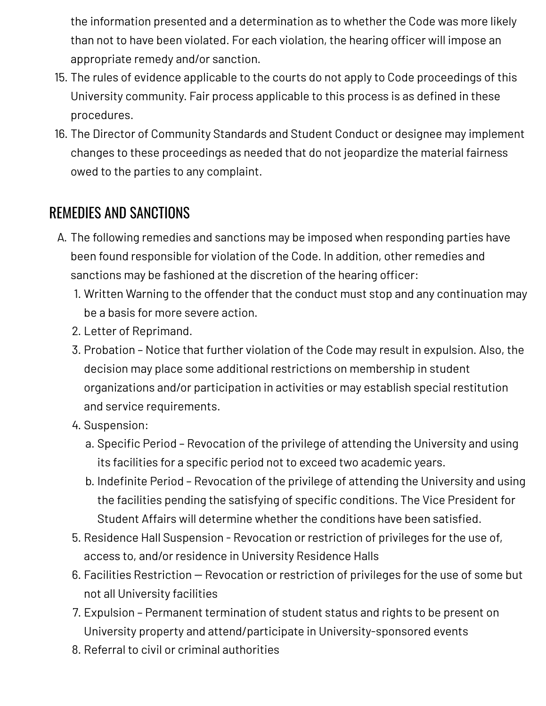the information presented and a determination as to whether the Code was more likely than not to have been violated. For each violation, the hearing officer will impose an appropriate remedy and/or sanction.

- 15. The rules of evidence applicable to the courts do not apply to Code proceedings of this University community. Fair process applicable to this process is as defined in these procedures.
- 16. The Director of Community Standards and Student Conduct or designee may implement changes to these proceedings as needed that do not jeopardize the material fairness owed to the parties to any complaint.

## REMEDIES AND SANCTIONS

- A. The following remedies and sanctions may be imposed when responding parties have been found responsible for violation of the Code. In addition, other remedies and sanctions may be fashioned at the discretion of the hearing officer:
	- 1. Written Warning to the offender that the conduct must stop and any continuation may be a basis for more severe action.
	- 2. Letter of Reprimand.
	- 3. Probation Notice that further violation of the Code may result in expulsion. Also, the decision may place some additional restrictions on membership in student organizations and/or participation in activities or may establish special restitution and service requirements.
	- 4. Suspension:
		- a. Specific Period Revocation of the privilege of attending the University and using its facilities for a specific period not to exceed two academic years.
		- b. Indefinite Period Revocation of the privilege of attending the University and using the facilities pending the satisfying of specific conditions. The Vice President for Student Affairs will determine whether the conditions have been satisfied.
	- 5. Residence Hall Suspension Revocation or restriction of privileges for the use of, access to, and/or residence in University Residence Halls
	- 6. Facilities Restriction Revocation or restriction of privileges for the use of some but not all University facilities
	- 7. Expulsion Permanent termination of student status and rights to be present on University property and attend/participate in University-sponsored events
	- 8. Referral to civil or criminal authorities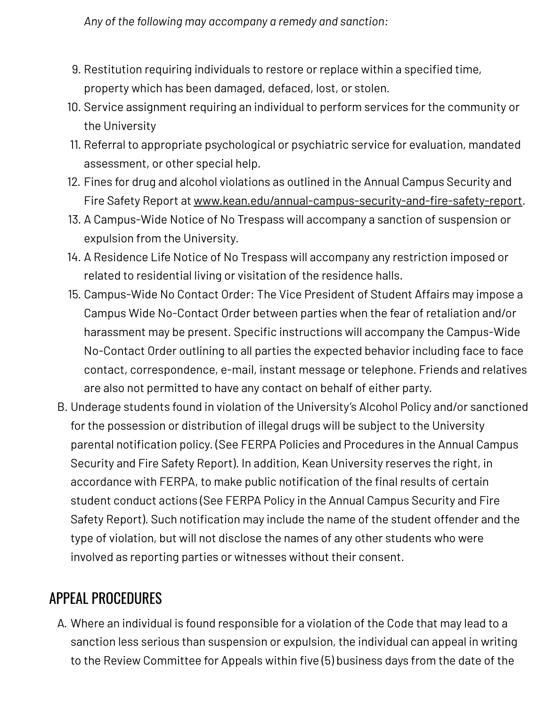*Any of the following may accompany a remedy and sanction:*

- 9. Restitution requiring individuals to restore or replace within a specified time, property which has been damaged, defaced, lost, or stolen.
- 10. Service assignment requiring an individual to perform services for the community or the University
- 11. Referral to appropriate psychological or psychiatric service for evaluation, mandated assessment, or other special help.
- 12. Fines for drug and alcohol violations as outlined in the Annual Campus Security and Fire Safety Report at [www.kean.edu/annual-campus-security-and-fire-safety-report](http://www.kean.edu/annual-campus-security-and-fire-safety-report).
- 13. A Campus-Wide Notice of No Trespass will accompany a sanction of suspension or expulsion from the University.
- 14. A Residence Life Notice of No Trespass will accompany any restriction imposed or related to residential living or visitation of the residence halls.
- 15. Campus-Wide No Contact Order: The Vice President of Student Affairs may impose a Campus Wide No-Contact Order between parties when the fear of retaliation and/or harassment may be present. Specific instructions will accompany the Campus-Wide No-Contact Order outlining to all parties the expected behavior including face to face contact, correspondence, e-mail, instant message or telephone. Friends and relatives are also not permitted to have any contact on behalf of either party.
- B. Underage students found in violation of the University's Alcohol Policy and/or sanctioned for the possession or distribution of illegal drugs will be subject to the University parental notification policy. (See FERPA Policies and Procedures in the Annual Campus Security and Fire Safety Report). In addition, Kean University reserves the right, in accordance with FERPA, to make public notification of the final results of certain student conduct actions (See FERPA Policy in the Annual Campus Security and Fire Safety Report). Such notification may include the name of the student offender and the type of violation, but will not disclose the names of any other students who were involved as reporting parties or witnesses without their consent.

### APPEAL PROCEDURES

A. Where an individual is found responsible for a violation of the Code that may lead to a sanction less serious than suspension or expulsion, the individual can appeal in writing to the Review Committee for Appeals within five (5) business days from the date of the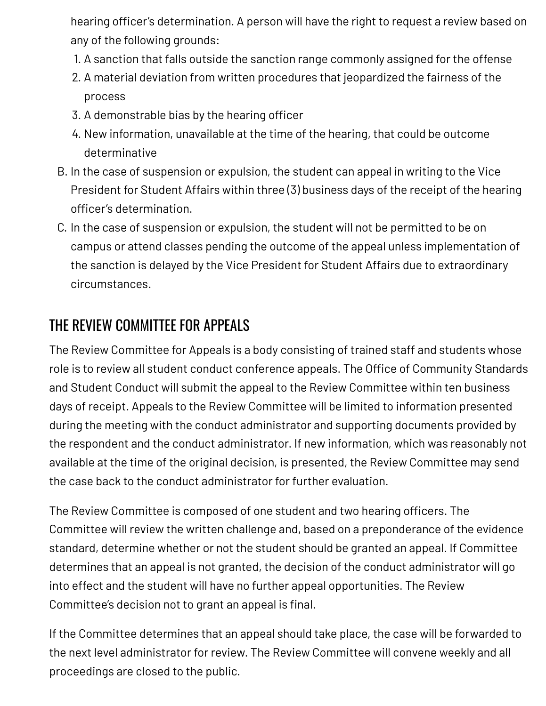hearing officer's determination. A person will have the right to request a review based on any of the following grounds:

- 1. A sanction that falls outside the sanction range commonly assigned for the offense
- 2. A material deviation from written procedures that jeopardized the fairness of the process
- 3. A demonstrable bias by the hearing officer
- 4. New information, unavailable at the time of the hearing, that could be outcome determinative
- B. In the case of suspension or expulsion, the student can appeal in writing to the Vice President for Student Affairs within three (3) business days of the receipt of the hearing officer's determination.
- C. In the case of suspension or expulsion, the student will not be permitted to be on campus or attend classes pending the outcome of the appeal unless implementation of the sanction is delayed by the Vice President for Student Affairs due to extraordinary circumstances.

## THE REVIEW COMMITTEE FOR APPEALS

The Review Committee for Appeals is a body consisting of trained staff and students whose role is to review all student conduct conference appeals. The Office of Community Standards and Student Conduct will submit the appeal to the Review Committee within ten business days of receipt. Appeals to the Review Committee will be limited to information presented during the meeting with the conduct administrator and supporting documents provided by the respondent and the conduct administrator. If new information, which was reasonably not available at the time of the original decision, is presented, the Review Committee may send the case back to the conduct administrator for further evaluation.

The Review Committee is composed of one student and two hearing officers. The Committee will review the written challenge and, based on a preponderance of the evidence standard, determine whether or not the student should be granted an appeal. If Committee determines that an appeal is not granted, the decision of the conduct administrator will go into effect and the student will have no further appeal opportunities. The Review Committee's decision not to grant an appeal is final.

If the Committee determines that an appeal should take place, the case will be forwarded to the next level administrator for review. The Review Committee will convene weekly and all proceedings are closed to the public.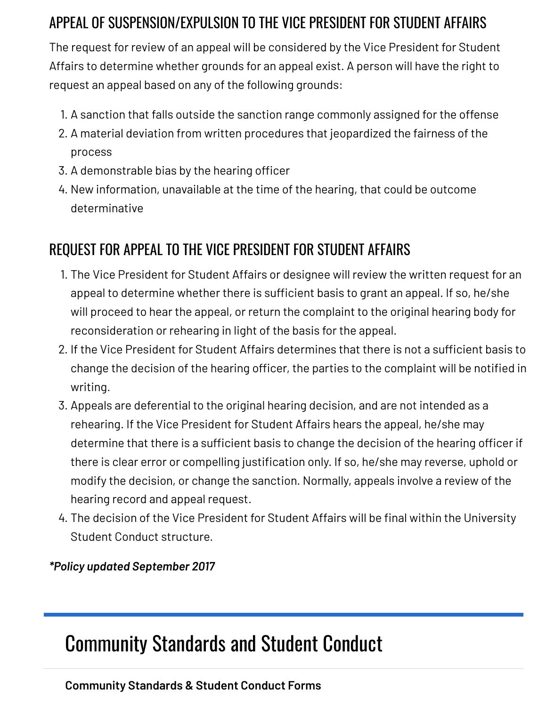## APPEAL OF SUSPENSION/EXPULSION TO THE VICE PRESIDENT FOR STUDENT AFFAIRS

The request for review of an appeal will be considered by the Vice President for Student Affairs to determine whether grounds for an appeal exist. A person will have the right to request an appeal based on any of the following grounds:

- 1. A sanction that falls outside the sanction range commonly assigned for the offense
- 2. A material deviation from written procedures that jeopardized the fairness of the process
- 3. A demonstrable bias by the hearing officer
- 4. New information, unavailable at the time of the hearing, that could be outcome determinative

## REQUEST FOR APPEAL TO THE VICE PRESIDENT FOR STUDENT AFFAIRS

- 1. The Vice President for Student Affairs or designee will review the written request for an appeal to determine whether there is sufficient basis to grant an appeal. If so, he/she will proceed to hear the appeal, or return the complaint to the original hearing body for reconsideration or rehearing in light of the basis for the appeal.
- 2. If the Vice President for Student Affairs determines that there is not a sufficient basis to change the decision of the hearing officer, the parties to the complaint will be notified in writing.
- 3. Appeals are deferential to the original hearing decision, and are not intended as a rehearing. If the Vice President for Student Affairs hears the appeal, he/she may determine that there is a sufficient basis to change the decision of the hearing officer if there is clear error or compelling justification only. If so, he/she may reverse, uphold or modify the decision, or change the sanction. Normally, appeals involve a review of the hearing record and appeal request.
- 4. The decision of the Vice President for Student Affairs will be final within the University Student Conduct structure.

#### *\*Policy updated September 2017*

## [Community](https://www.kean.edu/offices/community-standards-and-student-conduct) Standards and Student Conduct

#### **[Community](https://www.kean.edu/offices/community-standards-and-student-conduct/community-standards-student-conduct-forms) Standards & Student Conduct Forms**